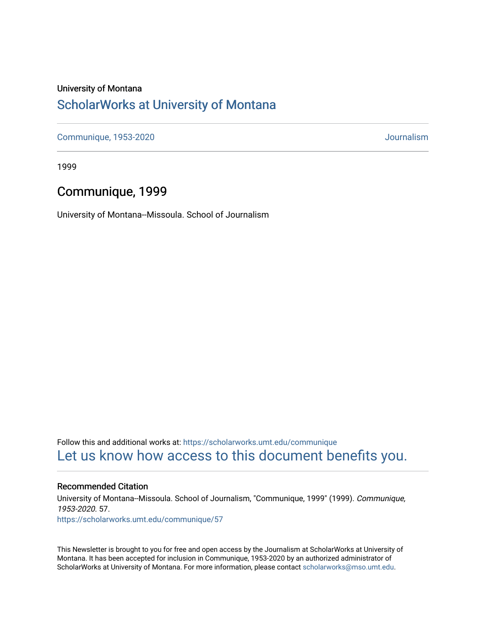#### University of Montana

#### [ScholarWorks at University of Montana](https://scholarworks.umt.edu/)

[Communique, 1953-2020](https://scholarworks.umt.edu/communique) [Journalism](https://scholarworks.umt.edu/journalism) 

1999

#### Communique, 1999

University of Montana--Missoula. School of Journalism

Follow this and additional works at: [https://scholarworks.umt.edu/communique](https://scholarworks.umt.edu/communique?utm_source=scholarworks.umt.edu%2Fcommunique%2F57&utm_medium=PDF&utm_campaign=PDFCoverPages)  [Let us know how access to this document benefits you.](https://goo.gl/forms/s2rGfXOLzz71qgsB2) 

#### Recommended Citation

University of Montana--Missoula. School of Journalism, "Communique, 1999" (1999). Communique, 1953-2020. 57. [https://scholarworks.umt.edu/communique/57](https://scholarworks.umt.edu/communique/57?utm_source=scholarworks.umt.edu%2Fcommunique%2F57&utm_medium=PDF&utm_campaign=PDFCoverPages)

This Newsletter is brought to you for free and open access by the Journalism at ScholarWorks at University of Montana. It has been accepted for inclusion in Communique, 1953-2020 by an authorized administrator of ScholarWorks at University of Montana. For more information, please contact [scholarworks@mso.umt.edu.](mailto:scholarworks@mso.umt.edu)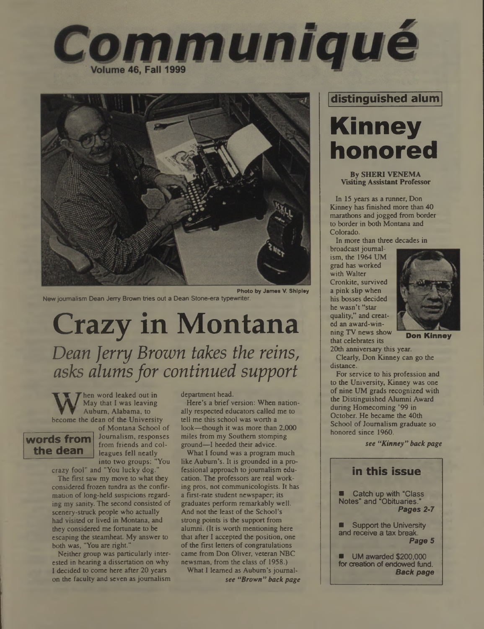



New journalism Dean Jerry Brown tries out a Dean Stone-era typewriter.

# **Crazy in Montana** *Dean Jerry Brown takes the reins, asks alumsfor continued support*

 $\sum$  hen word leaked out in Auburn, Alabama, to become the dean of the University

#### **words from the dean**

of Montana School of Journalism, responses from friends and colleagues fell neatly into two groups: "You

crazy fool" and "You lucky dog."

The first saw my move to what they considered frozen tundra as the confirmation of long-held suspicions regarding my sanity. The second consisted of scenery-struck people who actually had visited or lived in Montana, and they considered me fortunate to be escaping the steamheat. My answer to both was, "You are right."

Neither group was particularly interested in hearing a dissertation on why I decided to come here after 20 years on the faculty and seven as journalism department head.

Here's a brief version: When nationally respected educators called me to tell me this school was worth a look—though it was more than 2,000 miles from my Southern stomping ground—I heeded their advice.

What I found was a program much like Auburn's. It is grounded in a professional approach to journalism education. The professors are real working pros, not communicologists. It has a first-rate student newspaper, its graduates perform remarkably well. And not the least of the School's strong points is the support from alumni; (It is worth mentioning here that after I accepted the position, one of the first letters of congratulations came from Don Oliver, veteran NBC newsman, from the class of 1958.)

What I learned as Auburn's journalsee *"Brown" backpage*

#### **distinguished alum**

# **Kinney honored**

#### **By SHERI VENEMA Visiting Assistant Professor**

In 15 years as a runner, Don Kinney has finished more than 40 marathons and jogged from border to border in both Montana and Colorado.

In more than three decades in

broadcast journalism, the 1964 UM grad has worked with Walter Cronkite, survived a pink slip when his bosses decided he wasn't "star quality," and created an award-winning TV news show that celebrates its



**Don Kinney**

20th anniversary this year. Clearly, Don Kinney can go the distance.

For service to his profession and to the University, Kinney was one of nine UM grads recognized with the Distinguished Alumni Award during Homecoming '99 in October. He became the 40th School of Journalism graduate so honored since 1960.

*see "Kinney" back page*

#### **in this issue** Catch up with "Class Notes" and "Obituaries." *Pages 2-7* Support the University and receive a tax break. *Page 5* UM awarded \$200,000 for creation of endowed fund. *Back page*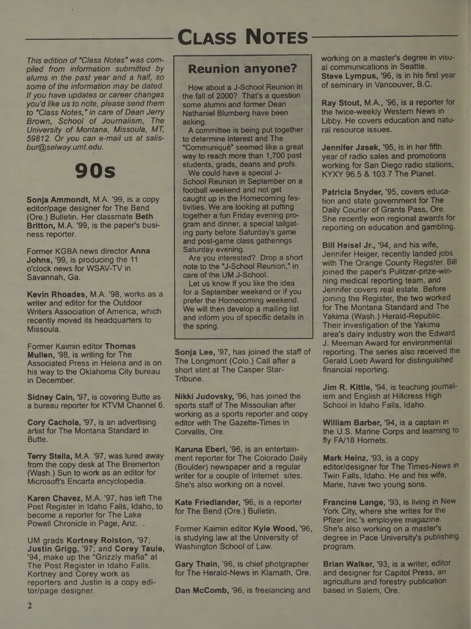

*This edition of "Class Notes" was compiled from information submitted by alums in the past year and a half, so some of the information may be dated. Ifyou have updates or career changes you'd like us to note, please send them to "Class Notes," in care of Dean Jerry Brown, School of Journalism, The University of Montana, Missoula, MT, 59812. Or you can e-mail us at salisbur@selway.umt.edu.*



Sonia Ammondt, M.A. '99, is a copy editor/page designer for The Bend (Ore.) Bulletin. Her classmate Beth Britton, M.A. '99, is the paper's business reporter.

Former KGBA news director Anna Johns, '99, is producing the <sup>11</sup> o'clock news for WSAV-TV in Savannah, Ga.

Kevin Rhoades, M.A. '98, works as a writer and editor for the Outdoor Writers Association of America, which recently moved its headquarters to Missoula.

Former Kaimin editor Thomas Mullen, '98, is writing for The Associated Press in Helena and is on his way to the Oklahoma City bureau in December.

Sidney Cain, '97, is covering Butte as a bureau reporter for KTVM Channel 6.

Cory Cachola, '97, is an advertising artist for The Montana Standard in Butte.

Terry Stella, M.A. '97, was lured away from the copy desk at The Bremerton (Wash.) Sun to work as an editor for Microsoft's Encarta encyclopedia.

Karen Chavez, M.A. '97, has left The Post Register in Idaho Falls, Idaho, to become a reporter for The Lake Powell Chronicle in Page, Ariz. .

UM grads Kortney Rolston, '97; Justin Grigg, '97; and Corey Taule, '94, make up the "Grizzly mafia" at The Post Register in Idaho Falls. Kortney and Corey work as reporters and Justin is a copy editor/page designer.

### **Reunion anyone?**

How about a J-School Reunion in the fall of 2000? That's a question some alumni and former Dean Nathaniel Blumberg have been asking.

A committee is being put together  $\cdot$ to determine interest and The "Communique" seemed like a great way to reach more than 1,700 past students, grads, deans and profs. We could have a special J-

School Reunion in September on a football weekend and not get caught up in the Homecoming festivities. We are looking at putting together a fun Friday evening program and dinner, a special tailgating party before Saturday's game and post-game class gatherings Saturday evening.

Are you interested? Drop a short note to the "J-School Reunion," in care of the UM J-School.

Let us know if you like the idea for a September weekend or if you prefer the Homecoming weekend. We will then develop a mailing list and inform you of specific details in the spring.

Sonja Lee, '97, has joined the staff of The Longmont (Colo.) Call after a short stint at The Casper Star-Tribune.

Nikki Judovsky, '96, has joined the sports staff of The Missoulian after working as a sports reporter and copy editor with The Gazette-Times in Corvallis, Ore.

Karuna Eberl, '96, is an entertainment reporter for The Colorado Daily (Boulder) newspaper and a regular writer for a couple of Internet sites. She's also working on a novel.

Kate Friedlander, '96, is a reporter for The Bend (Ore.) Bulletin.

Former Kaimin editor Kyle Wood, '96, is studying law at the University of Washington School of Law.

Gary Thain, '96, is chief photgrapher for The Herald-News in Klamath, Ore.

Dan McComb, '96, is freelancing and

working on a master's degree in visual communications in Seattle. Steve Lympus, '96, is in his first year of seminary in Vancouver, B.C.

Ray Stout, M.A., '96, is a reporter for the twice-weekly Western News in Libby. He covers education and natural resource issues.

Jennifer Jasek, '95, is in her fifth year of radio sales and promotions working for San Diego radio stations, KYXY 96.5 & 103.7 The Planet.

Patricia Snyder, '95, covers education and state government for The Daily Courier of Grants Pass, Ore. She recently won regional awards for reporting on education and gambling.

Bill Heisel Jr., '94, and his wife, Jennifer Heiger, recently landed jobs with The Orange County Register. Bill joined the paper's Pulitzer-prize-winning medical reporting team, and Jennifer covers real estate. Before joining the Register, the two worked for The Montana Standard and The Yakima (Wash.) Herald-Republic. Their investigation of the Yakima area's dairy industry won the Edward J. Meeman Award for environmental reporting. The series also received the Gerald Loeb Award for distinguished financial reporting.

Jim R. Kittle, '94, is teaching journalism and English at Hillcress High School in Idaho Falls, Idaho.

William Barber, '94, is a captain in the U.S. Marine Corps and learning to fly FA/18 Hornets.

Mark Heinz, '93, is a copy editor/designer for The Times-News in Twin Falls, Idaho. He and his wife, Marie, have two young sons.

Francine Lange, '93, is living in New York City, where she writes for the Pfizer Inc.'s employee magazine. She's also working on a master's degree in Pace University's publishing program.

Brian Walker, '93, is a writer, editor and designer for Capitol Press, an agriculture and forestry publication based in Salem, Ore.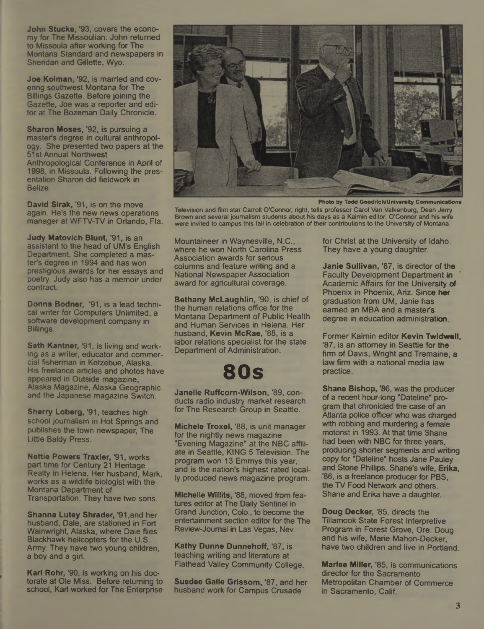John Stucke, '93, covers the economy for The Mlssoulian. John returned to Missoula after working for The Montana Standard and newspapers in Sheridan and Gillette, Wyo.

Joe Kolman, '92, is married and covering southwest Montana for The Billings Gazette. Before joining the Gazette, Joe was a reporter and editor at The Bozeman Daily Chronicle.

Sharon Moses, '92, is pursuing a master's degree in cultural anthropology. She presented two papers at the 51st Annual Northwest Anthropological Conference in April of 1998, in Missoula. Following the presentation Sharon did fieldwork in Belize.

David Sirak, '91, is on the move again. He's the new news operations manager at WFTV-TV in Orlando, Fla.

Judy Matovich Blunt, '91, is an assistant to the head of UM's English Department. She completed a master's degree in 1994 and has won prestigious awards for her essays and poetry. Judy also has a memoir under contract.

Donna Bodner, '91, is a lead technical writer for Computers Unlimited, a software development company in Billings.

Seth Kantner, '91, is living and working as a writer, educator and commercial fisherman in Kotzebue, Alaska. His freelance articles and photos have appeared in Outside magazine, Alaska Magazine, Alaska Geographic and the Japanese magazine Switch.

Sherry Loberg, '91, teaches high school journalism in Hot Springs and publishes the town newspaper, The Little Baldy Press.

Nettie Powers Traxler, '91, works part time for Century 21 Heritage Realty in Helena. Her husband, Mark, works as a wildlife biologist with the Montana Department of Transportation. They have two sons.

Shanna Lutey Shrader, '91,and her husband, Dale, are stationed in Fort Wainwright, Alaska, where Dale flies Blackhawk helicopters for the U.S. Army. They have two young children, a boy and a girl.

Karl Rohr, '90, is working on his doctorate at Ole Miss. Before returning to school, Karl worked for The Enterprise



**Photo by Todd Goodrich/Unlversity Communication\***

**Television and film star Carroll O'Connor, right, tells professor Carol Van Valkenburg, Dean Jerry Brown and several journalism students about his days as a Kaimin editor. O'Connor and his wife were invited to campus this fell in celebration of their contributions to the University of Montana.**

Mountaineer in Waynesville, N.C., where he won North Carolina Press Association awards for serious columns and feature writing and a National Newspaper Association award for agricultural coverage.

Bethany McLaughlin, '90, is chief of the human relations office for the Montana Department of Public Health and Human Services in Helena. Her husband, Kevin McRae, '88, is a labor relations specialist for the state Department of Administration.

## **80s**

Janelle Ruffcorn-Wilson, '89, conducts radio industry market research for The Research Group in Seattle.

Michele Troxel, '88, is unit manager for the nightly news magazine "Evening Magazine" at the NBC affiliate in Seattle, KING 5 Television. The program won 13 Emmys this year, and is the nation's highest rated locally produced news magazine program.

Michelle Willits, '88, moved from features editor at The Daily Sentinel in Grand Junction, Colo., to become the entertainment section editor for the The Review-Journal in Las Vegas, Nev.

Kathy Dunne Dunnehoff, '87, is teaching writing and literature at Flathead Valley Community College.

Suedee Galle Grissom, '87, and her husband work for Campus Crusade

for Christ at the University of Idaho. They have a young daughter.

Janie Sullivan, '87, is director of the Faculty Development Department in Academic Affairs for the University of Phoenix in Phoenix, Ariz. Since her graduation from UM, Janie has earned an MBA and a master's degree in education administration.

Former Kaimin editor Kevin Twidwell, '87, is an attorney in Seattle for the firm of Davis, Wright and Tremaine, a law firm with a national media law practice.

Shane Bishop, '86, was the producer of a recent hour-long "Dateline" program that chronicled the case of an Atlanta police officer who was charged with robbing and murdering a female motorist in 1993. At that time Shane had been with NBC for three years, producing shorter segments and writing copy for "Dateline" hosts Jane Pauley and Stone Phillips. Shane's wife, Erika, '86, is a freelance producer for PBS, the TV Food Network and others. Shane and Erika have a daughter.

Doug Decker, '85, directs the Tillamook State Forest Interpretive Program in Forest Grove, Ore. Doug and his wife, Marie Mahon-Decker, have two children and live in Portland.

Marlee Miller, '85, is communications director for the Sacramento Metropolitan Chamber of Commerce in Sacramento, Calif.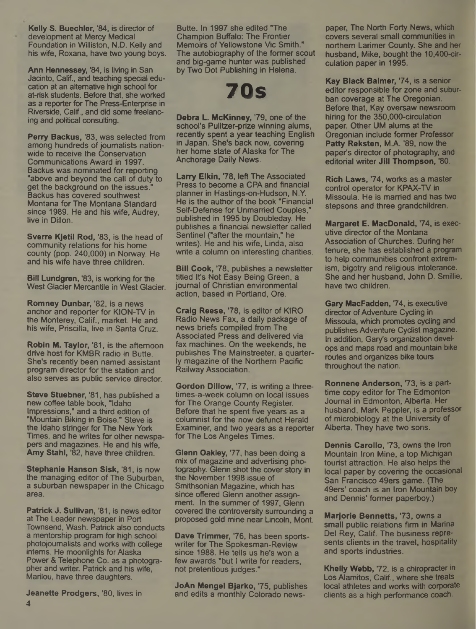Kelly S. Buechler, '84, is director of development at Mercy Medical Foundation in Williston, N.D. Kelly and his wife, Roxana, have two young boys.

Ann Hennessey, '84, is living in San Jacinto, Calif., and teaching special education at an alternative high school for at-risk students. Before that, she worked as a reporter for The Press-Enterprise in Riverside, Calif., and did some freelancing and political consulting.

Perry Backus, '83, was selected from among hundreds of journalists nationwide to receive the Conservation Communications Award in 1997. Backus was nominated for reporting "above and beyond the call of duty to get the background on the issues." Backus has covered southwest Montana for The Montana Standard since 1989. He and his wife, Audrey, live in Dillon.

Sverre Kjetil Rod, '83, is the head of community relations for his home county (pop. 240,000) in Norway. He and his wife have three children.

Bill Lundgren, '83, is working for the West Glacier Mercantile in West Glacier.

Romney Dunbar, '82, is a news anchor and reporter for KION-TV in the Monterey, Calif., market. He and his wife, Priscilla, live in Santa Cruz.

Robin M. Taylor, '81, is the afternoon drive host for KMBR radio in Butte. She's recently been named assistant program director for the station and also serves as public service director.

Steve Stuebner, '81, has published a new coffee table book, "Idaho Impressions," and a third edition of "Mountain Biking in Boise." Steve is the Idaho stringer for The New York Times, and he writes for other newspapers and magazines. He and his wife, Amy Stahl, '82, have three children.

Stephanie Hanson Sisk, '81, is now the managing editor of The Suburban, a suburban newspaper in the Chicago area.

Patrick J. Sullivan, '81, is news editor at The Leader newspaper in Port Townsend, Wash. Patrick also conducts a mentorship program for high school photojoumalists and works with college interns. He moonlights for Alaska Power & Telephone Co. as a photographer and writer. Patrick and his wife, Marilou, have three daughters.

Jeanette Prodgers, '80, lives in

Butte. In 1997 she edited "The Champion Buffalo: The Frontier Memoirs of Yellowstone Vic Smith." The autobiography of the former scout and big-game hunter was published by Two Dot Publishing in Helena.

## **70s**

Debra L. McKinney, '79, one of the school's Pulitzer-prize winning alums, recently spent a year teaching English in Japan. She's back now, covering her home state of Alaska for The Anchorage Daily News.

Larry Elkin, '78, left The Associated Press to become a CPA and financial planner in Hastings-on-Hudson, N.Y. He is the author of the book "Financial Self-Defense for Unmarried Couples," published in 1995 by Doubleday. He publishes a financial newsletter called Sentinel ("after the mountain," he writes). He and his wife, Linda, also write a column on interesting charities.

**Bill Cook, '78, publishes a newsletter** titled It's Not Easy Being Green, a journal of Christian environmental action, based in Portland, Ore.

Craig Reese, '78, is editor of KIRO Radio News Fax, a daily package of news briefs compiled from The Associated Press and delivered via fax machines. On the weekends, he publishes The Mainstreeter, a quarterly magazine of the Northern Pacific Railway Association.

Gordon Dillow, 77, is writing a threetimes-a-week column on local issues for The Orange County Register. Before that he spent five years as a columnist for the now defunct Herald Examiner, and two years as a reporter for The Los Angeles Times.

Glenn Oakley, '77, has been doing a mix of magazine and advertising photography. Glenn shot the cover story in the November 1998 issue of Smithsonian Magazine, which has since offered Glenn another assignment. In the summer of 1997, Glenn covered the controversity surrounding a proposed gold mine near Lincoln, Mont.

Dave Trimmer, 76, has been sportswriter for The Spokesman-Review since 1988. He tells us he's won a few awards "but I write for readers, not pretentious judges."

JoAn Mengel Bjarko, 75, publishes and edits a monthly Colorado newspaper, The North Forty News, which covers several small communities in northern Larimer County. She and her husband, Mike, bought the 10,400-circulation paper in 1995.

Kay Black Balmer, '74, is a senior editor responsible for zone and suburban coverage at The Oregonian. Before that, Kay oversaw newsroom hiring for the 350,000-circulation paper. Other UM alums at the Oregonian include former Professor Patty Reksten, M.A. '89, now the paper's director of photography, and editorial writer Jill Thompson, '80.

Rich Laws, '74, works as a master control operator for KPAX-TV in Missoula. He is married and has two stepsons and three grandchildren.

Margaret E. MacDonald, '74, is executive director of the Montana Association of Churches. During her tenure, she has established a program to help communities confront extremism, bigotry and religious intolerance. She and her husband, John D. Smillie, have two children.

Gary MacFadden, 74, is executive director of Adventure Cycling in Missoula, which promotes cycling and publishes Adventure Cyclist magazine. In addition, Gary's organization develops and maps road and mountain bike routes and organizes bike tours throughout the nation.

Ronnene Anderson, 73, is a parttime copy editor for The Edmonton Journal in Edmonton, Alberta. Her husband, Mark Peppier, is a professor of microbiology at the University of Alberta. They have two sons.

Dennis Carollo, '73, owns the Iron Mountain Iron Mine, a top Michigan tourist attraction. He also helps the local paper by covering the occasional San Francisco 49ers game. (The 49ers' coach is an Iron Mountain boy and Dennis' former paperboy.)

Marjorie Bennetts, '73, owns a small public relations firm in Marina Del Rey, Calif. The business represents clients in the travel, hospitality and sports industries.

Khelly Webb, '72, is a chiropracter in Los Alamitos, Calif., where she treats local athletes and works with corporate clients as a high performance coach.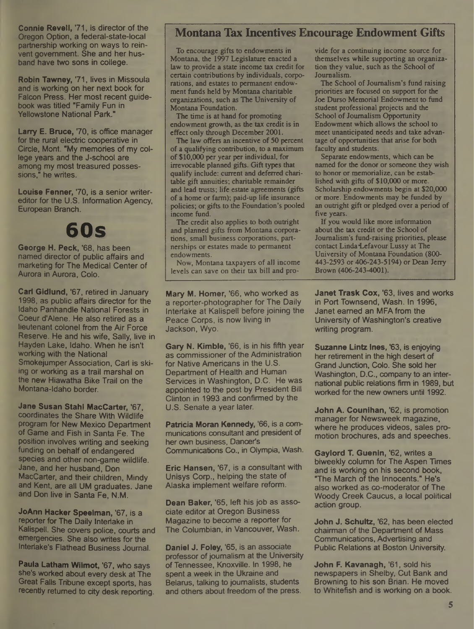Connie Revell, 71, is director of the Oregon Option, a federal-state-local partnership working on ways to reinvent government. She and her husband have two sons in college.

Robin Tawney, 71, lives in Missoula and is working on her next book for Falcon Press. Her most recent guidebook was titled "Family Fun in Yellowstone National Park."

Larry E. Bruce, 70, is office manager for the rural electric cooperative in Circle, Mont. "My memories of my college years and the J-school are among my most treasured possessions," he writes.

Louise Fenner, '70, is a senior writereditor for the U.S. Information Agency, European Branch.

# **60s**

George H. Peck, '68, has been named director of public affairs and marketing for The Medical Center of Aurora in Aurora, Colo.

Carl Gidlund, '67, retired in January 1998, as public affairs director for the Idaho Panhandle National Forests in Coeur d'Alene. He also retired as a lieutenant colonel from the Air Force Reserve. He and his wife, Sally, live in Hayden Lake, Idaho. When he isn't working with the National Smokejumper Association, Carl is skiing or working as a trail marshal on the new Hiawatha Bike Trail on the Montana-Idaho border.

Jane Susan Stahl MacCarter, '67, coordinates the Share With Wildlife program for New Mexico Department of Game and Fish in Santa Fe. The position involves writing and seeking funding on behalf of endangered species and other non-game wildlife. Jane, and her husband, Don MacCarter, and their children, Mindy and Kent, are all UM graduates. Jane and Don live in Santa Fe, N.M.

JoAnn Hacker Speelman, '67, is a reporter for The Daily Interlake in Kalispell. She covers police, courts and emergencies. She also writes for the Interlake's Flathead Business Journal.

Paula Latham Wilmot, '67, who says she's worked about every desk at The Great Falls Tribune except sports, has recently returned to city desk reporting.

#### **Montana Tax Incentives Encourage Endowment Gifts**

To encourage gifts to endowments in Montana, the 1997 Legislature enacted a law to provide a state income tax credit for certain contributions by individuals, corporations, and estates to permanent endowment funds held by Montana charitable organizations, such as The University of Montana Foundation.

The time is at hand for promoting endowment growth, as the tax credit is in effect only through December 2001.

The law offers an incentive of 50 percent of a qualifying contribution, to a maximum of \$10,000 per year per individual, for irrevocable planned gifts. Gift types that qualify include: current and deferred charitable gift annuities; charitable remainder and lead trusts; life estate agreements (gifts of a home or farm); paid-up life insurance policies; or gifts to the Foundation's pooled income fund.

The credit also applies to both outright and planned gifts from Montana corporations, small business corporations, partnerships or estates made to permanent endowments.

Now, Montana taxpayers of all income levels can save on their tax bill and pro-

Mary M. Homer, '66, who worked as a reporter-photographer for The Daily Interlake at Kalispell before joining the Peace Corps, is now living in Jackson, Wyo.

Gary N. Kimble, '66, is in his fifth year as commissioner of the Administration for Native Americans in the U.S. Department of Health and Human Services in Washington, D.C. He was appointed to the post by President Bill Clinton in 1993 and confirmed by the U.S. Senate a year later.

Patricia Moran Kennedy, '66, is a communications consultant and president of her own business, Dancer's Communications Co., in Olympia, Wash.

Eric Hansen, \*67, is a consultant with Unisys Corp., helping the state of Alaska implement welfare reform.

Dean Baker, '65, left his job as associate editor at Oregon Business Magazine to become a reporter for The Columbian, in Vancouver, Wash.

Daniel J. Foley, '65, is an associate professor of journalism at the University of Tennessee, Knoxville. In 1998, he spent a week in the Ukraine and Belarus, talking to journalists, students and others about freedom of the press.

vide for a continuing income source for themselves while supporting an organization they value, such as the School of Journalism.

The School of Journalism's fund raising priorities are focused on support for the Joe Durso Memorial Endowment to fund student professional projects and the School of Journalism Opportunity Endowment which allows the school to meet unanticipated needs and take advantage of opportunities that arise for both faculty and students.

Separate endowments, which can be named for the donor or someone they wish to honor or memorialize, can be established with gifts of \$10,000 or more. Scholarship endowments begin at \$20,000 or more. Endowments may be funded by an outright gift or pledged over a period of five years.

If you would like more information about the tax credit or the School of Journalism's fund-raising priorities, please contact Linda Lefavour Lussy at The University of Montana Foundation (800- 443-2593 or 406-243-5194) or Dean Jerry Brown (406-243-4001).

Janet Trask Cox, '63, lives and works in Port Townsend, Wash. In 1996. Janet earned an MFA from the University of Washington's creative writing program.

Suzanne Lintz Ines, '63, is enjoying her retirement in the high desert of Grand Junction, Colo. She sold her Washington, D.C., company to an international public relations firm in 1989, but worked for the new owners until 1992.

John A. Counihan, '62, is promotion manager for Newsweek magazine, where he produces videos, sales promotion brochures, ads and speeches.

Gaylord T. Guenin, '62, writes a biweekly column for The Aspen Times and is working on his second book, "The March of the Innocents." He's also worked as co-moderator of The Woody Creek Caucus, a local political action group.

John J. Schultz, '62, has been elected chairman of the Department of Mass Communications, Advertising and Public Relations at Boston University.

John F. Kavanagh, '61, sold his newspapers in Shelby, Cut Bank and Browning to his son Brian. He moved to Whitefish and is working on a book.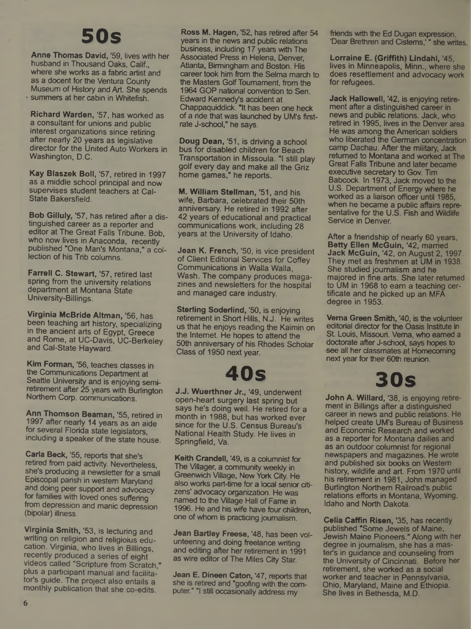## **50s**

Anne Thomas David, '59, lives with her husband in Thousand Oaks, Calif., where she works as a fabric artist and as a docent for the Ventura County Museum of History and Art. She spends • summers at her cabin in Whitefish.

Richard Warden, '57, has worked as a consultant for unions and public interest organizations since retiring after nearly 20 years as legislative director for the United Auto Workers in Washington, D.C.

Kay Blaszek Boll, '57, retired in 1997 as a middle school principal and now supervises student teachers at Cal-State Bakersfield.

Bob Giliuly, '57, has retired after a distinguished career as a reporter and editor at The Great Falls Tribune. Bob, who now lives in Anaconda, recently published "One Man's Montana," a collection of his Trib columns.

Farrell C. Stewart, '57, retired last spring from the university relations department at Montana State University-Billings.

Virginia McBride Altman, '56, has been teaching art history, specializing in the ancient arts of Egypt, Greece and Rome, at UC-Davis, UC-Berkeley and Cai-State Hayward.

Kim Forman, '56, teaches classes in the Communications Department at Seattle University and is enjoying semiretirement after 25 years with Burlington Northern Corp, communications.

Ann Thomson Beaman, '55, retired in 1997 after nearly 14 years as an aide for several Florida state legislators, including a speaker of the state house.

Carla Beck, '55, reports that she's retired from paid activity. Nevertheless, she's producing a newsletter for a small Episcopal parish in western Maryland and doing peer support and advocacy for families with loved ones suffering from depression and manic depression (bipolar) illness.

Virginia Smith, '53, is lecturing and writing on religion and religioius education. Virginia, who lives in Billings, recently produced a series of eight videos called "Scripture from Scratch," plus a participant manual and facilitator's guide. The project also entails a monthly publication that she co-edits.

Ross M. Hagen, '52, has retired after 54 years in the news and public relations business, including 17 years with The Associated Press in Helena, Denver, Atlanta, Birmingham and Boston. His career took him from the Selma march to the Masters Golf Tournament, from the 1964 GOP national convention to Sen. Edward Kennedy's accident at Chappaquiddick. "It has been one heck of a ride that was launched by UM's firstrate J-school," he says.

Doug Dean, '51, is driving a school bus for disabled children for Beach Transportation in Missoula. "I still play golf every day and make all the Griz home games," he reports.

M. William Stellman, '51, and his wife, Barbara, celebrated their 50th anniversary. He retired in 1992 after 42 years of educational and practical communications work, including 28 years at the University of Idaho.

Jean K. French, '50, is vice president of Client Editorial Services for Coffey Communications in Walla Walla, Wash. The company produces magazines and newsletters for the hospital and managed care industry.

Sterling Soderlind, '50, is enjoying retirement in Short Hills, N.J. He writes us that he enjoys reading the Kaimin on the Internet. He hopes to attend the 50th anniversary of his Rhodes Scholar Class of 1950 next year.

## **40s**

J.J. Wuerthner Jr., '49, underwent open-heart surgery last spring but says he's doing well. He retired for a month in 1988, but has worked ever since for the U.S. Census Bureau's National Health Study. He lives in Springfield, Va.

Keith Crandell, '49, is a columnist for The Villager, a community weekly in Greenwich Village, New York City. He also works part-time for a local senior citizens' advocacy organization. He was named to the Village Hall of Fame in 1996. He and his wife have four children, one of whom is practicing journalism.

Jean Bartley Freese, '48, has been volunteering and doing freelance writing and editing after her retirement in 1991 as wire editor of The Miles City Star.

Jean E. Dineen Caton, '47, reports that she is retired and "goofing with the computer." "I still occasionally address my

friends with the Ed Dugan expression, 'Dear Brethren and Cisterns,'" she writes

Lorraine E. (Griffith) Lindahl, '45, lives in Minneapolis, Minn., where she does resettlement and advocacy work for refugees.

Jack Hallowell, '42, is enjoying retirement after a distinguished career in news and public relations. Jack, who retired in 1995, lives in the Denver area. He was among the American soldiers who liberated the German concentration camp Dachau. After the military, Jack returned to Montana and worked at The Great Falls Tribune and later became executive secretary to Gov. Tim Babcock. In 1973, Jack moved to the U.S. Department of Energy where he worked as a liaison officer until 1985, when he became a public affairs representative for the U.S. Fish and Wildlife Service in Denver.

After a friendship of nearly 60 years, Betty Ellen McGuin, '42, married Jack McGuin, '42, on August 2, 1997. They met as freshmen at UM in 1938. She studied journalism and he majored in fine arts. She later returned to UM in 1968 to earn a teaching certificate and he picked up an MFA degree in 1953.

Verna Green Smith, '40, is the volunteer editorial director for the Oasis Institute in St. Louis, Missouri. Verna, who earned a doctorate after J-school, says hopes to see all her classmates at Homecoming next year for their 60th reunion.

## **30s**

John A. Willard, '38, is enjoying retirement in Billings after a distinguished career in news and public relations. He helped create UM's Bureau of Business and Economic Research and worked as a reporter for Montana dailies and as an outdoor columnist for regional newspapers and magazines. He wrote and published six books on Western history, wildlife and art. From 1970 until his retirement in 1981, John managed Burlington Northern Railroad's public relations efforts in Montana, Wyoming, Idaho and North Dakota.

Celia Caffin Risen, '35, has recently published "Some Jewels of Maine, Jewish Maine Pioneers." Along with her degree in journalism, she has a master's in guidance and counseling from the University of Cincinnati. Before her retirement, she worked as a social worker and teacher in Pennsylvania, Ohio, Maryland, Maine and Ethiopia. She lives in Bethesda, M.D.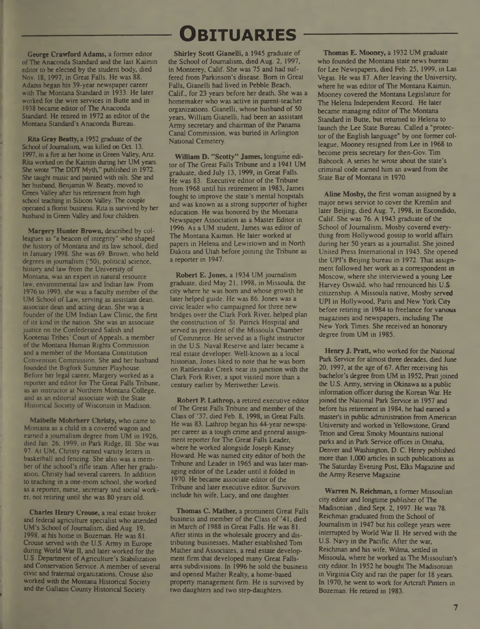George Crawford Adams, a former editor of The Anaconda Standard and the last Kaimin editor to be elected by the student body, died Nov. 18,1997, in Great Falls. He was 88. Adams began his 39-year newspaper career with The Montana Standard in 1933. He later worked for the wire services in Butte and in 1938 became editor of The Anaconda Standard. He retired in 1972 as editor of the Montana Standard's Anaconda Bureau

Rita Gray Beatty, a 1952 graduate of the School of Journalism, was killed on Oct. 13, 1997, in a fire at her home in Green Valley, Ariz. Rita worked on the Kaimin during her UM years. She wrote "The DDT Myth," published in 1972. She taught music and painted with oils. She and her husband, Benjamin W. Beatty, moved to Green Valley after his retirement from high school teaching in Silicon Valley. The couple operated a florist business. Rita is survived by her husband in Green Valley and four children.

Margery Hunter Brown, described by colleagues as "a beacon of integrity" who shaped the history of Montana and its law school, died in January 1998. She was 69. Brown, who held degrees in journalism ('50), political science, history and law from the University of Montana, was an expert in natural resource law, environmental law and Indian law. From 1976 to 1993, she was a faculty member of the UM School of Law, serving as assistant dean, associate dean and acting dean. She was a founder of the UM Indian Law Clinic, the first ofits kind in the nation. She was an associate justice on the Confederated Salish and Kootenai Tribes' Court of Appeals, a member of the Montana Human Rights Commission and a member of the Montana Constitution Convention Commission. She and her husband founded the Bigfork Summer Playhouse. Before her legal career, Margery worked as a reporter and editor for The Great Falls Tribune, as an instructor at Northern Montana College, and as an editorial associate with the State Historical Society of Wisconsin in Madison.

Maibelle Mohrherr Christy, who came to Montana as a child in a covered wagon and earned a journalism degree from UM in 1926, died Jan, 26, 1999, in Park Ridge, Ill. She was 97. At UM, Christy earned varsity letters in basketball and fencing. She also was a member of the school's rifle team. After her graduation, Christy had several careers. In addition to teaching in a one-room school, she worked as a reporter, nurse, secretary and social worker, not retiring until she was 80 years old.

Charles Henry Crouse, a real estate broker and federal agriculture specialist who attended UM's School of Journalism, died Aug. 19, 1998, at his home in Bozeman. He was 81. Crouse served with the U.S. Army in Europe during World War II, and later worked for the U.S. Department of Agriculture's Stabilization and Conservation Service. A member of several civic and fraternal organizations, Crouse also worked with the Montana Historical Society and the Gallatin County Historical Society.

## **----------------Obituaries-----------------**

Shirley Scott Gianelli, a 1945 graduate of the School of Journalism, died Aug. 2, 1997, in Monterey, Calif. She was 75 and had suffered from Parkinson's disease. Bom in Great Falls, Gianelli had lived in Pebble Beach, Calif., for 23 years before her death She was a homemaker who was active in parent-teacher organizations. Gianelli, whose husband of 50 years, William Gianelli, had been an assistant Army secretary and chairman of the Panama Canal Commission, was buried in Arlington National Cemetery.

William D. "Scotty" James, longtime editor of The Great Falls Tribune and a 1941 UM graduate, died July 13,1999, in Great Falls. He was 83. Executive editor of the Tribune from 1968 until his retirement in 1983, James fought to improve the state's mental hospitals and was known as a strong supporter of higher education. He was honored by the Montana Newspaper Association as a Master Editor in 1996. As a UM student, James was editor of The Montana Kaimin. He later worked at papers in Helena and Lewistown and in North Dakota and Utah before joining the Tribune as a reporter in 1947.

Robert E. Jones, a 1934 UM journalism graduate, died May 21,1998, in Missoula, the city where he was bom and whose growth he later helped guide. He was 86. Jones was a civic leader who campaigned for three new bridges over the Clark Fork River, helped plan the construction of St. Patrick Hospital and served as president of the Missoula Chamber ofCommerce. He served as a flight instructor in the U.S. Naval Reserve and later became a real estate developer. Well-known as a local historian, Jones liked to note that he was bom on Rattlesnake Creek near its junction with the Clark Fork River, a spot visited more than a century earlier by Meriwether Lewis.

Robert P. Lathrop, a retired executive editor of The Great Falls Tribune and member of the Class of \*37, died Feb. 8,1998, in Great Falls. He was 83. Lathrop began his 44-year newspaper career as a tough crime and general assignment reporter for The Great Falls Leader, where he worked alongside Joseph Kinsey Howard. He was named city editor of both the Tribune and Leader in 1965 and was later managing editor of the Leader until it folded in 1970. He became associate editor of the Tribune and later executive editor. Survivors include his wife, Lucy, and one daughter.

Thomas C. Mather, a prominent Great Falls business and member of the Class of '41, died in March of 1988 in Great Falls. He was 81. After stints in the wholesale grocery and distributing businesses, Mather established Tom Mather and Associates, a real estate development firm that developed many Great Fallsarea subdivisions. In 1996 he sold the business and opened Mather Realty, a home-based property management firm. He is survived by two daughters and two step-daughters,

Thomas E. Mooney, a 1932 UM graduate who founded the Montana state news bureau for Lee Newspapers, died Feb. 25,1999, in Las Vegas. He was 87. After leaving the University, where he was editor of The Montana Kaimin, Mooney covered the Montana Legislature for The Helena Independent Record. He later became managing editor of The Montana Standard in Butte, but returned to Helena to launch the Lee State Bureau. Called a "protector of the English language" by one former colleague, Mooney resigned from Lee in 1968 to become press secretary for then-Gov. Tim Babcock. A series he wrote about the state's criminal code earned him an award from the State Bar of Montana in 1970.

Aline Mosby, the first woman assigned by a major news service to cover the Kremlin and later Beijing, died Aug. 7, 1998, in Escondido, Calif. She was 76. A 1943 graduate of the School of Journalism, Mosby covered everything from Hollywood gossip to world affairs during her 50 years as ajournalist. She joined United Press International in 1943. She opened the UPI's Beijing bureau in 1972. That assignment followed her work as a correspondent in Moscow, where she interviewed a young Lee Harvey Oswald, who had renounced his U.S. citizenship. A Missoula native, Mosby served UPI in Hollywood, Paris and New York City before retiring in 1984 to freelance for various magazines and newspapers, including The New York Times. She received an honorary degree from UM in 1985.

Henry J. Pratt, who worked for the National Park Service for almost three decades, died June 20,1997, at the age of 67. After receiving his bachelor's degree from UM in 1952, Pratt joined the U.S. Army, serving in Okinawa as a public information officer during the Korean War. He joined the National Park Service in 1957 and before his retirement in 1984, he had earned a master's in public administration from American University and worked in Yellowstone, Grand Teton and Great Smoky Mountains national parks and in Park Service offices in Omaha, Denver and Washington, D. C. Henry published more than 1,000 articles in such publications as The Saturday Evening Post, Elks Magazine and the Army Reserve Magazine.

Warren N. Reichman, a former Missoulian city editor and longtime publisher of The Madisonian, died Sept. 2,1997. He was 78. Reichman graduated from the School of Journalism in 1947 but his college years were interrupted by World War II. He served with the U.S. Navy in the Pacific. After the war, Reichman and his wife, Wilma, settled in Missoula, where he worked as The Missoulian's city editor. In 1952 he bought The Madisonian in Virginia City and ran the paper for 18 years. In 1970, he went to work for Artcraft Pinters in Bozeman. He retired in 1983.